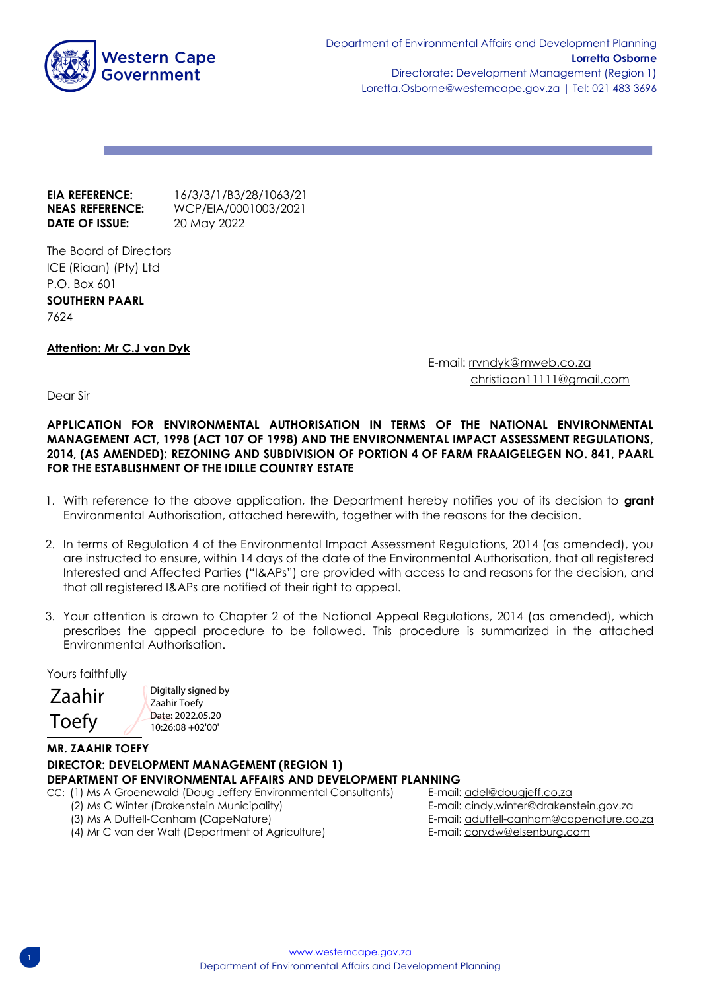

**EIA REFERENCE:** 16/3/3/1/B3/28/1063/21 **NEAS REFERENCE:** WCP/EIA/0001003/2021 **DATE OF ISSUE:** 20 May 2022

The Board of Directors ICE (Riaan) (Pty) Ltd P.O. Box 601 **SOUTHERN PAARL** 7624

# **Attention: Mr C.J van Dyk**

E-mail: [rrvndyk@mweb.co.za](mailto:rrvndyk@mweb.co.za) christiaan11111@gmail.com

Dear Sir

**APPLICATION FOR ENVIRONMENTAL AUTHORISATION IN TERMS OF THE NATIONAL ENVIRONMENTAL MANAGEMENT ACT, 1998 (ACT 107 OF 1998) AND THE ENVIRONMENTAL IMPACT ASSESSMENT REGULATIONS, 2014, (AS AMENDED): REZONING AND SUBDIVISION OF PORTION 4 OF FARM FRAAIGELEGEN NO. 841, PAARL FOR THE ESTABLISHMENT OF THE IDILLE COUNTRY ESTATE**

- 1. With reference to the above application, the Department hereby notifies you of its decision to **grant** Environmental Authorisation, attached herewith, together with the reasons for the decision.
- 2. In terms of Regulation 4 of the Environmental Impact Assessment Regulations, 2014 (as amended), you are instructed to ensure, within 14 days of the date of the Environmental Authorisation, that all registered Interested and Affected Parties ("I&APs") are provided with access to and reasons for the decision, and that all registered I&APs are notified of their right to appeal.
- 3. Your attention is drawn to Chapter 2 of the National Appeal Regulations, 2014 (as amended), which prescribes the appeal procedure to be followed. This procedure is summarized in the attached Environmental Authorisation.

Yours faithfully

Zaahir Toefy

j. Digitally signed by Zaahir Toefy Date: 2022.05.20 10:26:08 +02'00'

# **MR. ZAAHIR TOEFY DIRECTOR: DEVELOPMENT MANAGEMENT (REGION 1) DEPARTMENT OF ENVIRONMENTAL AFFAIRS AND DEVELOPMENT PLANNING**

CC: (1) Ms A Groenewald (Doug Jeffery Environmental Consultants) E-mail: adel@dougieff.co.za

- 
- 
- (4) Mr C van der Walt (Department of Agriculture) E-mail: corvdw@elsenburg.com

 (2) Ms C Winter (Drakenstein Municipality) E-mail[: cindy.winter@drakenstein.gov.za](mailto:cindy.winter@drakenstein.gov.za) (3) Ms A Duffell-Canham (CapeNature) E-mail[: aduffell-canham@capenature.co.za](mailto:aduffell-canham@capenature.co.za)

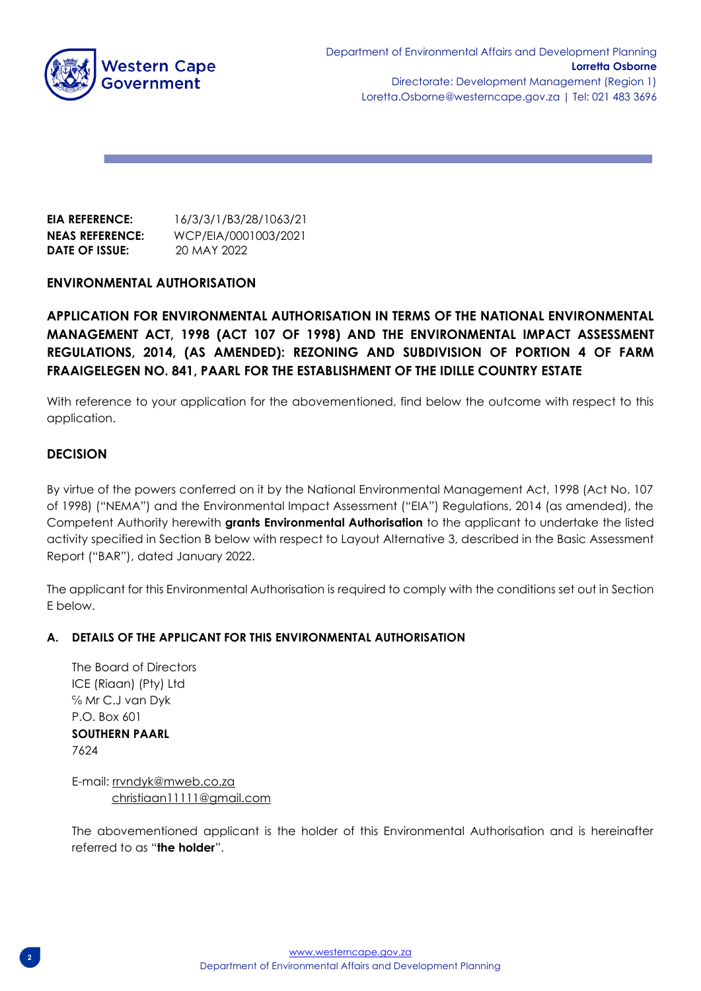

**EIA REFERENCE:** 16/3/3/1/B3/28/1063/21 **NEAS REFERENCE:** WCP/EIA/0001003/2021 **DATE OF ISSUE:** 20 MAY 2022

# **ENVIRONMENTAL AUTHORISATION**

**APPLICATION FOR ENVIRONMENTAL AUTHORISATION IN TERMS OF THE NATIONAL ENVIRONMENTAL MANAGEMENT ACT, 1998 (ACT 107 OF 1998) AND THE ENVIRONMENTAL IMPACT ASSESSMENT REGULATIONS, 2014, (AS AMENDED): REZONING AND SUBDIVISION OF PORTION 4 OF FARM FRAAIGELEGEN NO. 841, PAARL FOR THE ESTABLISHMENT OF THE IDILLE COUNTRY ESTATE**

With reference to your application for the abovementioned, find below the outcome with respect to this application.

# **DECISION**

By virtue of the powers conferred on it by the National Environmental Management Act, 1998 (Act No. 107 of 1998) ("NEMA") and the Environmental Impact Assessment ("EIA") Regulations, 2014 (as amended), the Competent Authority herewith **grants Environmental Authorisation** to the applicant to undertake the listed activity specified in Section B below with respect to Layout Alternative 3, described in the Basic Assessment Report ("BAR"), dated January 2022.

The applicant for this Environmental Authorisation is required to comply with the conditions set out in Section E below.

#### **A. DETAILS OF THE APPLICANT FOR THIS ENVIRONMENTAL AUTHORISATION**

The Board of Directors ICE (Riaan) (Pty) Ltd ℅ Mr C.J van Dyk  $P \cap R$  ax 601 **SOUTHERN PAARL** 7624

E-mail: [rrvndyk@mweb.co.za](mailto:rrvndyk@mweb.co.za) christiaan11111@gmail.com

The abovementioned applicant is the holder of this Environmental Authorisation and is hereinafter referred to as "**the holder**".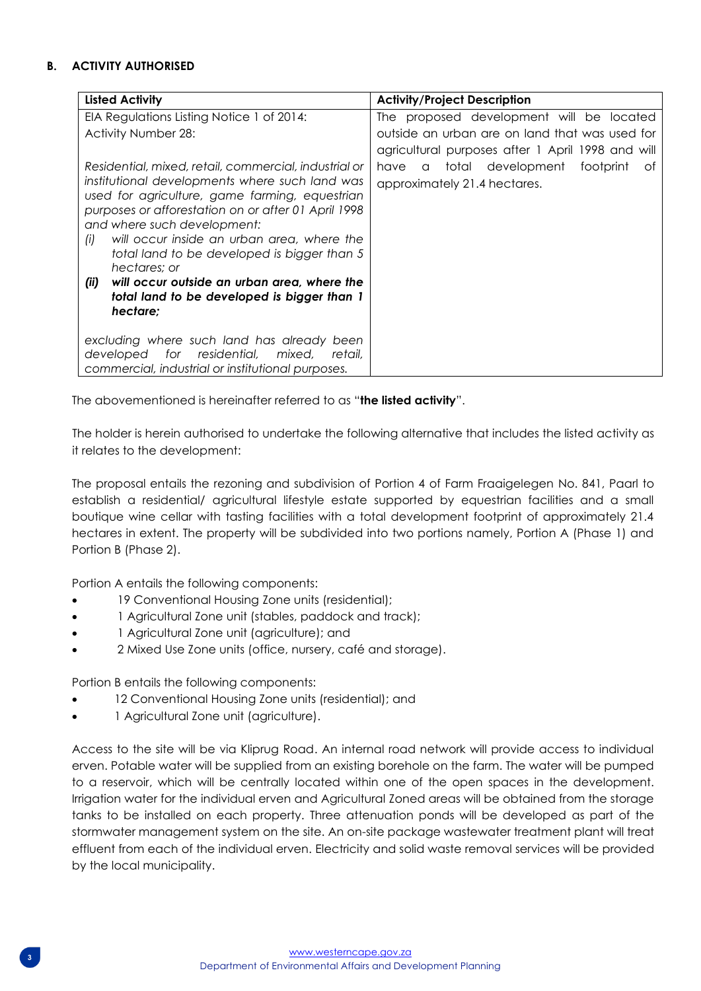# **B. ACTIVITY AUTHORISED**

| <b>Listed Activity</b>                                                                                                                                                                                                                                                                                                                                                                                                                                                                | <b>Activity/Project Description</b>                                                                 |
|---------------------------------------------------------------------------------------------------------------------------------------------------------------------------------------------------------------------------------------------------------------------------------------------------------------------------------------------------------------------------------------------------------------------------------------------------------------------------------------|-----------------------------------------------------------------------------------------------------|
| EIA Regulations Listing Notice 1 of 2014:                                                                                                                                                                                                                                                                                                                                                                                                                                             | The proposed development will be located                                                            |
| <b>Activity Number 28:</b>                                                                                                                                                                                                                                                                                                                                                                                                                                                            | outside an urban are on land that was used for<br>agricultural purposes after 1 April 1998 and will |
| Residential, mixed, retail, commercial, industrial or<br>institutional developments where such land was<br>used for agriculture, game farming, equestrian<br>purposes or afforestation on or after 01 April 1998<br>and where such development:<br>will occur inside an urban area, where the<br>(i)<br>total land to be developed is bigger than 5<br>hectares: or<br>will occur outside an urban area, where the<br>(ii)<br>total land to be developed is bigger than 1<br>hectare: | a total development footprint<br>have<br>ot.<br>approximately 21.4 hectares.                        |
| excluding where such land has already been<br>developed for residential,<br>mixed,<br>retail.<br>commercial, industrial or institutional purposes.                                                                                                                                                                                                                                                                                                                                    |                                                                                                     |

The abovementioned is hereinafter referred to as "**the listed activity**".

The holder is herein authorised to undertake the following alternative that includes the listed activity as it relates to the development:

The proposal entails the rezoning and subdivision of Portion 4 of Farm Fraaigelegen No. 841, Paarl to establish a residential/ agricultural lifestyle estate supported by equestrian facilities and a small boutique wine cellar with tasting facilities with a total development footprint of approximately 21.4 hectares in extent. The property will be subdivided into two portions namely, Portion A (Phase 1) and Portion B (Phase 2).

Portion A entails the following components:

- 19 Conventional Housing Zone units (residential);
- 1 Agricultural Zone unit (stables, paddock and track);
- 1 Agricultural Zone unit (agriculture); and
- 2 Mixed Use Zone units (office, nursery, café and storage).

Portion B entails the following components:

- 12 Conventional Housing Zone units (residential); and
- 1 Agricultural Zone unit (agriculture).

Access to the site will be via Kliprug Road. An internal road network will provide access to individual erven. Potable water will be supplied from an existing borehole on the farm. The water will be pumped to a reservoir, which will be centrally located within one of the open spaces in the development. Irrigation water for the individual erven and Agricultural Zoned areas will be obtained from the storage tanks to be installed on each property. Three attenuation ponds will be developed as part of the stormwater management system on the site. An on-site package wastewater treatment plant will treat effluent from each of the individual erven. Electricity and solid waste removal services will be provided by the local municipality.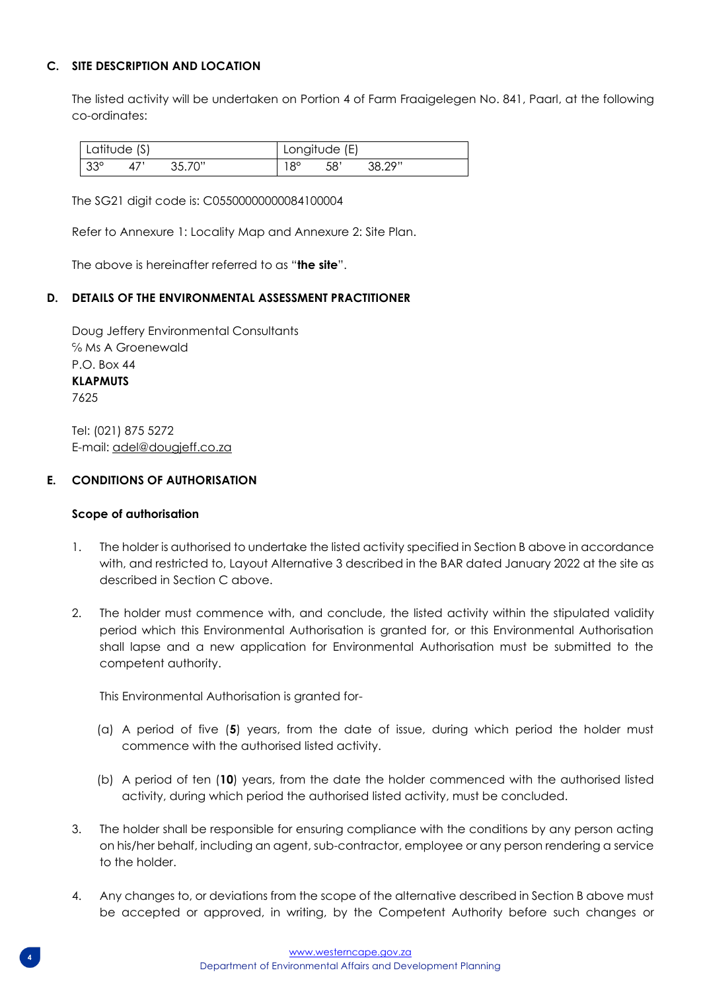# **C. SITE DESCRIPTION AND LOCATION**

The listed activity will be undertaken on Portion 4 of Farm Fraaigelegen No. 841, Paarl, at the following co-ordinates:

| Latitude (S) |  | Longitude (E) |    |      |        |
|--------------|--|---------------|----|------|--------|
| $-33^\circ$  |  | 35.70"        | QO | -58' | 38 79" |

The SG21 digit code is: C05500000000084100004

Refer to Annexure 1: Locality Map and Annexure 2: Site Plan.

The above is hereinafter referred to as "**the site**".

# **D. DETAILS OF THE ENVIRONMENTAL ASSESSMENT PRACTITIONER**

Doug Jeffery Environmental Consultants ℅ Ms A Groenewald P.O. Box 44 **KLAPMUTS** 7625

Tel: (021) 875 5272 E-mail: adel@dougjeff.co.za

# **E. CONDITIONS OF AUTHORISATION**

#### **Scope of authorisation**

- 1. The holder is authorised to undertake the listed activity specified in Section B above in accordance with, and restricted to, Layout Alternative 3 described in the BAR dated January 2022 at the site as described in Section C above.
- 2. The holder must commence with, and conclude, the listed activity within the stipulated validity period which this Environmental Authorisation is granted for, or this Environmental Authorisation shall lapse and a new application for Environmental Authorisation must be submitted to the competent authority.

This Environmental Authorisation is granted for-

- (a) A period of five (**5**) years, from the date of issue, during which period the holder must commence with the authorised listed activity.
- (b) A period of ten (**10**) years, from the date the holder commenced with the authorised listed activity, during which period the authorised listed activity, must be concluded.
- 3. The holder shall be responsible for ensuring compliance with the conditions by any person acting on his/her behalf, including an agent, sub-contractor, employee or any person rendering a service to the holder.
- 4. Any changes to, or deviations from the scope of the alternative described in Section B above must be accepted or approved, in writing, by the Competent Authority before such changes or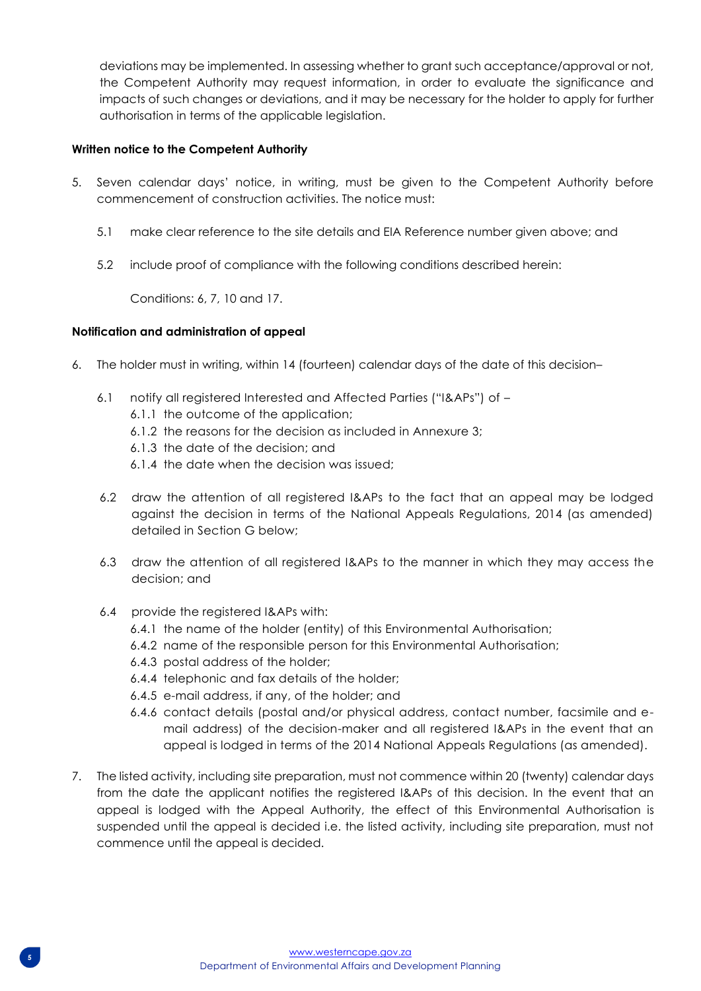deviations may be implemented. In assessing whether to grant such acceptance/approval or not, the Competent Authority may request information, in order to evaluate the significance and impacts of such changes or deviations, and it may be necessary for the holder to apply for further authorisation in terms of the applicable legislation.

# **Written notice to the Competent Authority**

- 5. Seven calendar days' notice, in writing, must be given to the Competent Authority before commencement of construction activities. The notice must:
	- 5.1 make clear reference to the site details and EIA Reference number given above; and
	- 5.2 include proof of compliance with the following conditions described herein:

Conditions: 6, 7, 10 and 17.

# **Notification and administration of appeal**

- 6. The holder must in writing, within 14 (fourteen) calendar days of the date of this decision–
	- 6.1 notify all registered Interested and Affected Parties ("I&APs") of
		- 6.1.1 the outcome of the application;
		- 6.1.2 the reasons for the decision as included in Annexure 3;
		- 6.1.3 the date of the decision; and
		- 6.1.4 the date when the decision was issued;
	- 6.2 draw the attention of all registered I&APs to the fact that an appeal may be lodged against the decision in terms of the National Appeals Regulations, 2014 (as amended) detailed in Section G below;
	- 6.3 draw the attention of all registered I&APs to the manner in which they may access the decision; and
	- 6.4 provide the registered I&APs with:
		- 6.4.1 the name of the holder (entity) of this Environmental Authorisation;
		- 6.4.2 name of the responsible person for this Environmental Authorisation;
		- 6.4.3 postal address of the holder;
		- 6.4.4 telephonic and fax details of the holder;
		- 6.4.5 e-mail address, if any, of the holder; and
		- 6.4.6 contact details (postal and/or physical address, contact number, facsimile and email address) of the decision-maker and all registered I&APs in the event that an appeal is lodged in terms of the 2014 National Appeals Regulations (as amended).
- 7. The listed activity, including site preparation, must not commence within 20 (twenty) calendar days from the date the applicant notifies the registered I&APs of this decision. In the event that an appeal is lodged with the Appeal Authority, the effect of this Environmental Authorisation is suspended until the appeal is decided i.e. the listed activity, including site preparation, must not commence until the appeal is decided.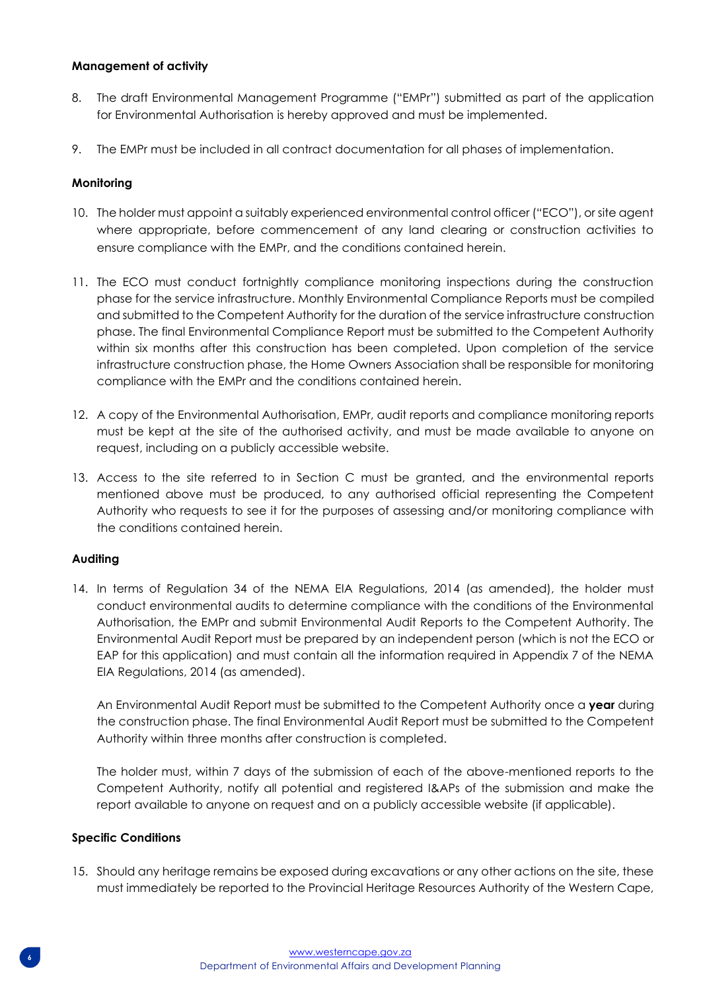# **Management of activity**

- 8. The draft Environmental Management Programme ("EMPr") submitted as part of the application for Environmental Authorisation is hereby approved and must be implemented.
- 9. The EMPr must be included in all contract documentation for all phases of implementation.

# **Monitoring**

- 10. The holder must appoint a suitably experienced environmental control officer ("ECO"), or site agent where appropriate, before commencement of any land clearing or construction activities to ensure compliance with the EMPr, and the conditions contained herein.
- 11. The ECO must conduct fortnightly compliance monitoring inspections during the construction phase for the service infrastructure. Monthly Environmental Compliance Reports must be compiled and submitted to the Competent Authority for the duration of the service infrastructure construction phase. The final Environmental Compliance Report must be submitted to the Competent Authority within six months after this construction has been completed. Upon completion of the service infrastructure construction phase, the Home Owners Association shall be responsible for monitoring compliance with the EMPr and the conditions contained herein.
- 12. A copy of the Environmental Authorisation, EMPr, audit reports and compliance monitoring reports must be kept at the site of the authorised activity, and must be made available to anyone on request, including on a publicly accessible website.
- 13. Access to the site referred to in Section C must be granted, and the environmental reports mentioned above must be produced, to any authorised official representing the Competent Authority who requests to see it for the purposes of assessing and/or monitoring compliance with the conditions contained herein.

#### **Auditing**

14. In terms of Regulation 34 of the NEMA EIA Regulations, 2014 (as amended), the holder must conduct environmental audits to determine compliance with the conditions of the Environmental Authorisation, the EMPr and submit Environmental Audit Reports to the Competent Authority. The Environmental Audit Report must be prepared by an independent person (which is not the ECO or EAP for this application) and must contain all the information required in Appendix 7 of the NEMA EIA Regulations, 2014 (as amended).

An Environmental Audit Report must be submitted to the Competent Authority once a **year** during the construction phase. The final Environmental Audit Report must be submitted to the Competent Authority within three months after construction is completed.

The holder must, within 7 days of the submission of each of the above-mentioned reports to the Competent Authority, notify all potential and registered I&APs of the submission and make the report available to anyone on request and on a publicly accessible website (if applicable).

#### **Specific Conditions**

15. Should any heritage remains be exposed during excavations or any other actions on the site, these must immediately be reported to the Provincial Heritage Resources Authority of the Western Cape,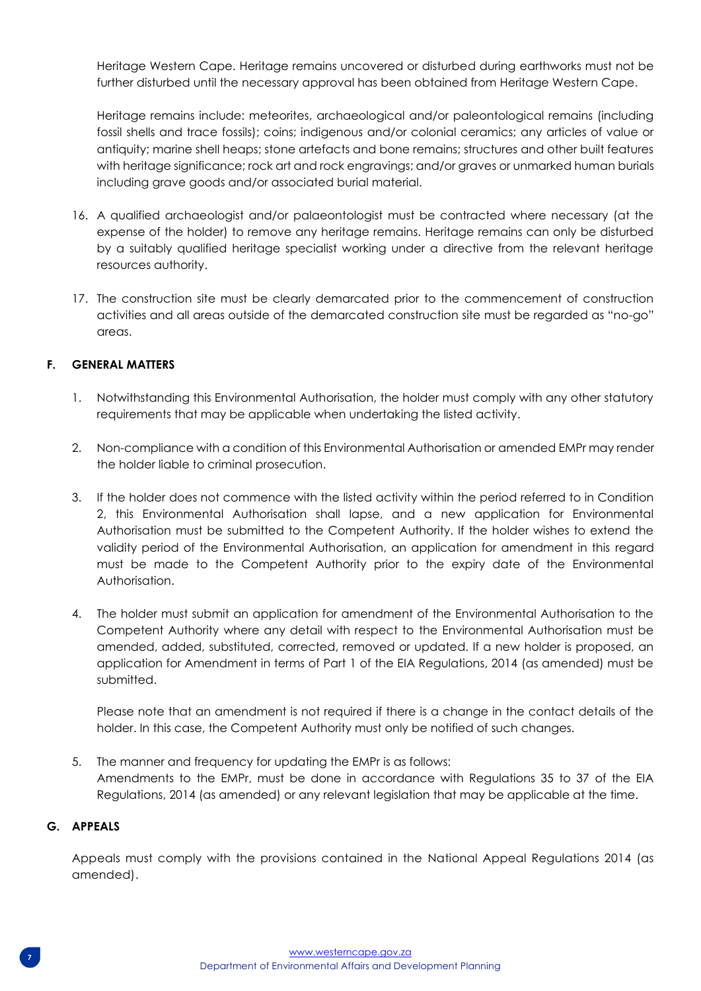Heritage Western Cape. Heritage remains uncovered or disturbed during earthworks must not be further disturbed until the necessary approval has been obtained from Heritage Western Cape.

Heritage remains include: meteorites, archaeological and/or paleontological remains (including fossil shells and trace fossils); coins; indigenous and/or colonial ceramics; any articles of value or antiquity; marine shell heaps; stone artefacts and bone remains; structures and other built features with heritage significance; rock art and rock engravings; and/or graves or unmarked human burials including grave goods and/or associated burial material.

- 16. A qualified archaeologist and/or palaeontologist must be contracted where necessary (at the expense of the holder) to remove any heritage remains. Heritage remains can only be disturbed by a suitably qualified heritage specialist working under a directive from the relevant heritage resources authority.
- 17. The construction site must be clearly demarcated prior to the commencement of construction activities and all areas outside of the demarcated construction site must be regarded as "no-go" areas.

# **F. GENERAL MATTERS**

- 1. Notwithstanding this Environmental Authorisation, the holder must comply with any other statutory requirements that may be applicable when undertaking the listed activity.
- 2. Non-compliance with a condition of this Environmental Authorisation or amended EMPr may render the holder liable to criminal prosecution.
- 3. If the holder does not commence with the listed activity within the period referred to in Condition 2, this Environmental Authorisation shall lapse, and a new application for Environmental Authorisation must be submitted to the Competent Authority. If the holder wishes to extend the validity period of the Environmental Authorisation, an application for amendment in this regard must be made to the Competent Authority prior to the expiry date of the Environmental Authorisation.
- 4. The holder must submit an application for amendment of the Environmental Authorisation to the Competent Authority where any detail with respect to the Environmental Authorisation must be amended, added, substituted, corrected, removed or updated. If a new holder is proposed, an application for Amendment in terms of Part 1 of the EIA Regulations, 2014 (as amended) must be submitted.

Please note that an amendment is not required if there is a change in the contact details of the holder. In this case, the Competent Authority must only be notified of such changes.

5. The manner and frequency for updating the EMPr is as follows: Amendments to the EMPr, must be done in accordance with Regulations 35 to 37 of the EIA Regulations, 2014 (as amended) or any relevant legislation that may be applicable at the time.

# **G. APPEALS**

Appeals must comply with the provisions contained in the National Appeal Regulations 2014 (as amended).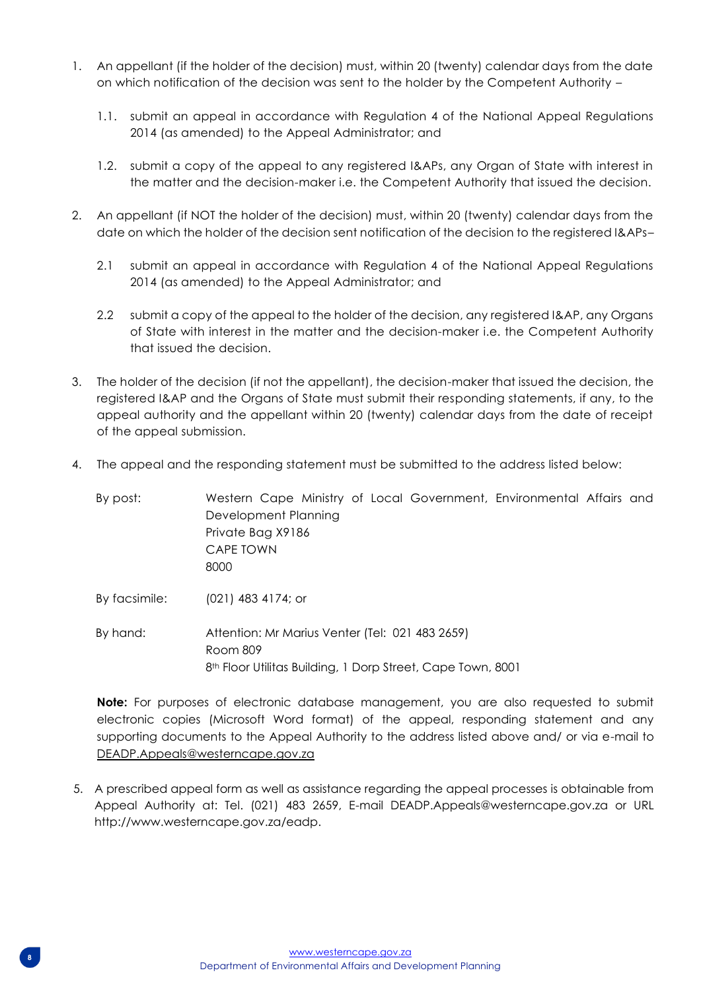- 1. An appellant (if the holder of the decision) must, within 20 (twenty) calendar days from the date on which notification of the decision was sent to the holder by the Competent Authority –
	- 1.1. submit an appeal in accordance with Regulation 4 of the National Appeal Regulations 2014 (as amended) to the Appeal Administrator; and
	- 1.2. submit a copy of the appeal to any registered I&APs, any Organ of State with interest in the matter and the decision-maker i.e. the Competent Authority that issued the decision.
- 2. An appellant (if NOT the holder of the decision) must, within 20 (twenty) calendar days from the date on which the holder of the decision sent notification of the decision to the registered I&APs–
	- 2.1 submit an appeal in accordance with Regulation 4 of the National Appeal Regulations 2014 (as amended) to the Appeal Administrator; and
	- 2.2 submit a copy of the appeal to the holder of the decision, any registered I&AP, any Organs of State with interest in the matter and the decision-maker i.e. the Competent Authority that issued the decision.
- 3. The holder of the decision (if not the appellant), the decision-maker that issued the decision, the registered I&AP and the Organs of State must submit their responding statements, if any, to the appeal authority and the appellant within 20 (twenty) calendar days from the date of receipt of the appeal submission.
- 4. The appeal and the responding statement must be submitted to the address listed below:

| By post:      | Western Cape Ministry of Local Government, Environmental Affairs and<br>Development Planning<br>Private Bag X9186<br>CAPE TOWN<br>8000 |
|---------------|----------------------------------------------------------------------------------------------------------------------------------------|
| By facsimile: | $(021)$ 483 4174; or                                                                                                                   |
| By hand:      | Attention: Mr Marius Venter (Tel: 021 483 2659)<br>Room 809<br>8 <sup>th</sup> Floor Utilitas Building, 1 Dorp Street, Cape Town, 8001 |

**Note:** For purposes of electronic database management, you are also requested to submit electronic copies (Microsoft Word format) of the appeal, responding statement and any supporting documents to the Appeal Authority to the address listed above and/ or via e-mail to [DEADP.Appeals@westerncape.gov.za](mailto:DEADP.Appeals@westerncape.gov.za)

5. A prescribed appeal form as well as assistance regarding the appeal processes is obtainable from Appeal Authority at: Tel. (021) 483 2659, E-mail DEADP.Appeals@westerncape.gov.za or URL http://www.westerncape.gov.za/eadp.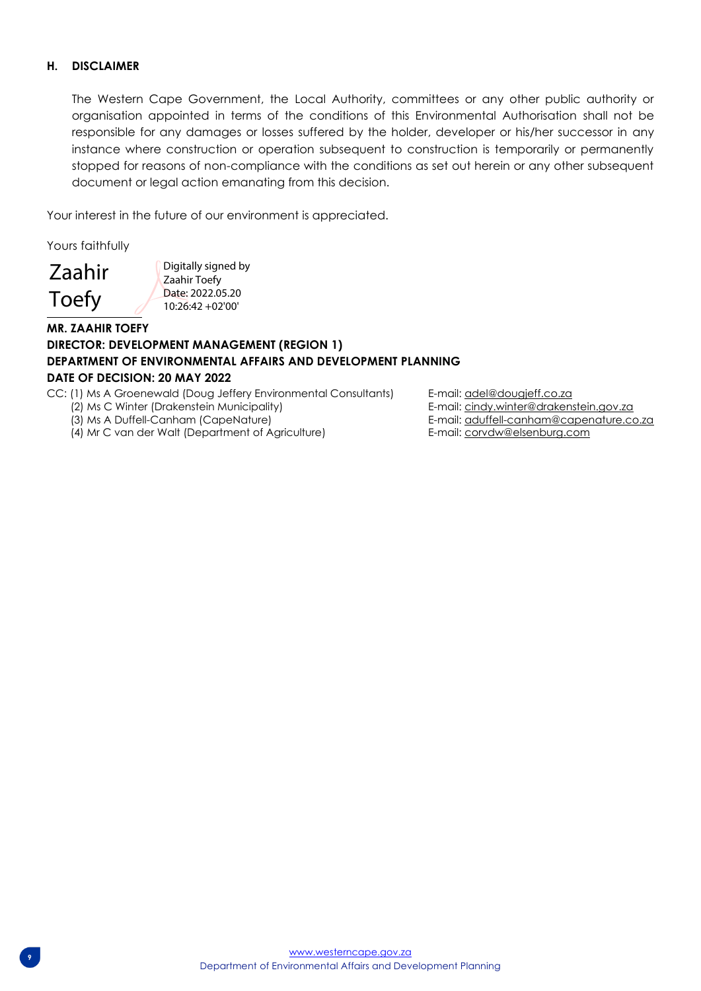## **H. DISCLAIMER**

The Western Cape Government, the Local Authority, committees or any other public authority or organisation appointed in terms of the conditions of this Environmental Authorisation shall not be responsible for any damages or losses suffered by the holder, developer or his/her successor in any instance where construction or operation subsequent to construction is temporarily or permanently stopped for reasons of non-compliance with the conditions as set out herein or any other subsequent document or legal action emanating from this decision.

Your interest in the future of our environment is appreciated.

Yours faithfully

Zaahir Toefy

Digitally signed by Zaahir Toefy Date: 2022.05.20 10:26:42 +02'00'

# **MR. ZAAHIR TOEFY DIRECTOR: DEVELOPMENT MANAGEMENT (REGION 1) DEPARTMENT OF ENVIRONMENTAL AFFAIRS AND DEVELOPMENT PLANNING DATE OF DECISION: 20 MAY 2022**

CC: (1) Ms A Groenewald (Doug Jeffery Environmental Consultants) E-mail: adel@dougjeff.co.za

 $\overline{\phantom{a}}$ 

(4) Mr C van der Walt (Department of Agriculture) E-mail[: corvdw@elsenburg.com](mailto:corvdw@elsenburg.com)

(2) Ms C Winter (Drakenstein Municipality) <br>
(3) Ms A Duffell-Canham (CapeNature) E-mail: aduffell-canham@capenature.com E-mail[: aduffell-canham@capenature.co.za](mailto:aduffell-canham@capenature.co.za)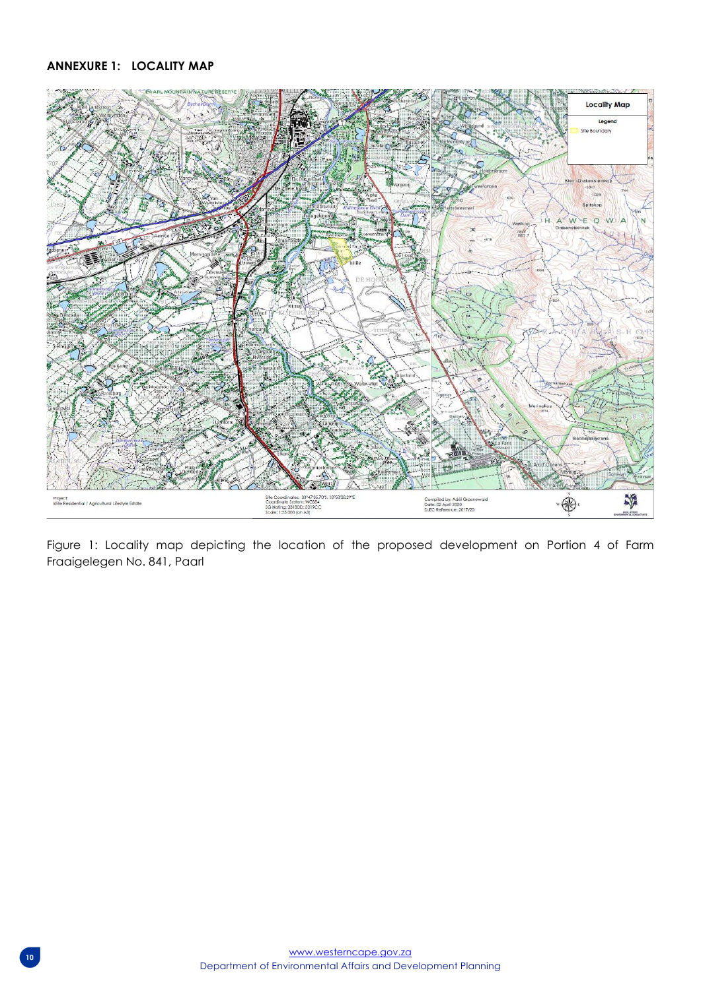# **ANNEXURE 1: LOCALITY MAP**



Figure 1: Locality map depicting the location of the proposed development on Portion 4 of Farm Fraaigelegen No. 841, Paarl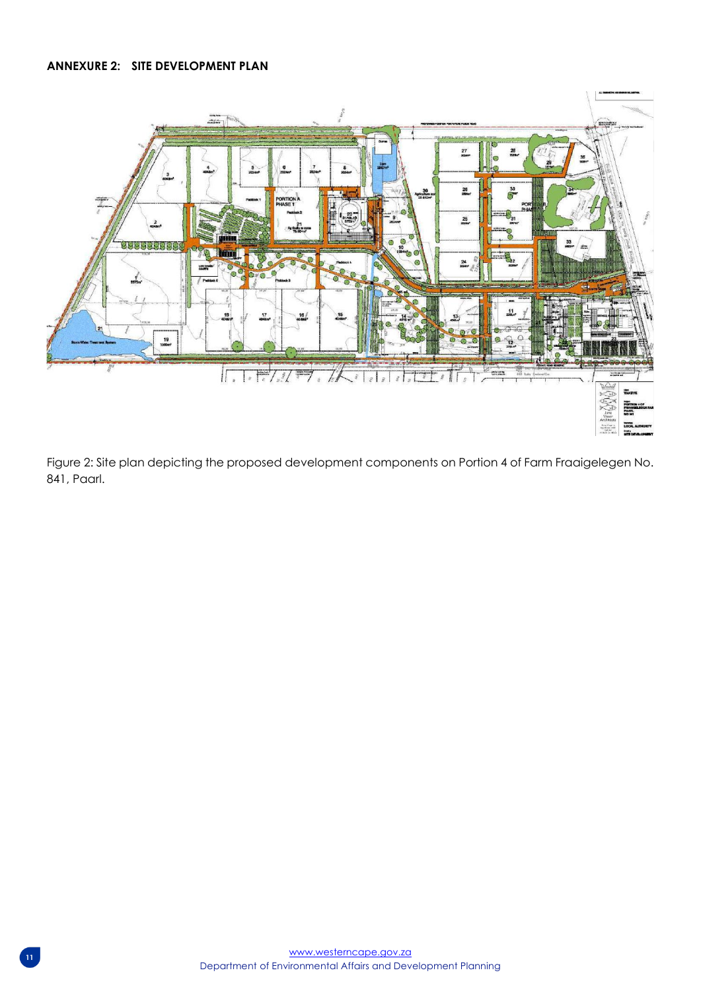# **ANNEXURE 2: SITE DEVELOPMENT PLAN**



Figure 2: Site plan depicting the proposed development components on Portion 4 of Farm Fraaigelegen No. 841, Paarl.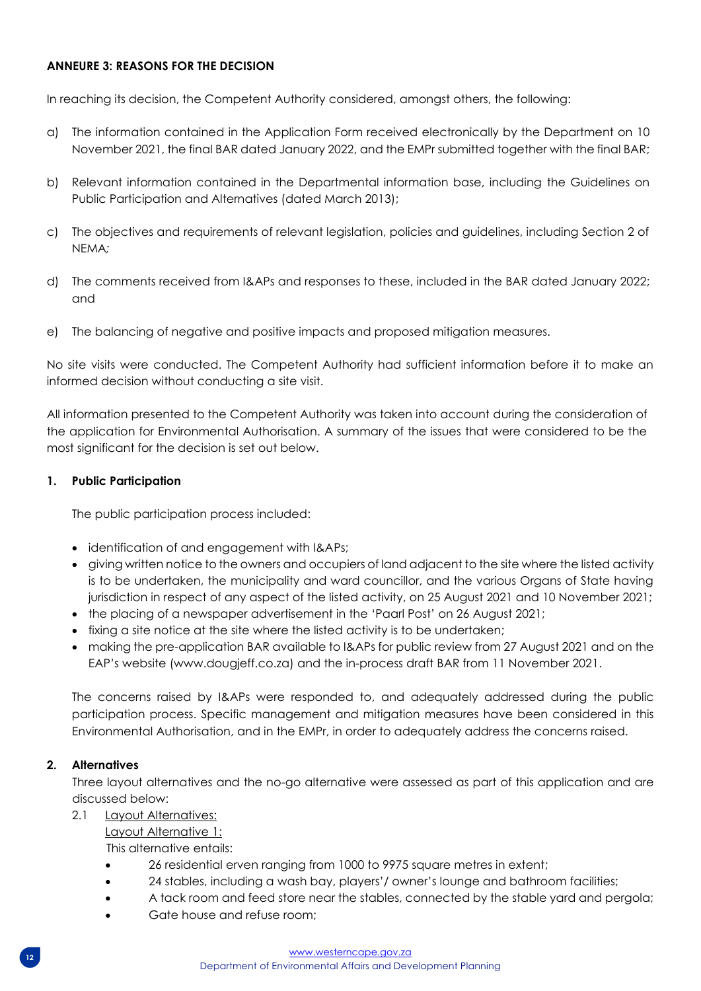# **ANNEURE 3: REASONS FOR THE DECISION**

In reaching its decision, the Competent Authority considered, amongst others, the following:

- a) The information contained in the Application Form received electronically by the Department on 10 November 2021, the final BAR dated January 2022, and the EMPr submitted together with the final BAR;
- b) Relevant information contained in the Departmental information base, including the Guidelines on Public Participation and Alternatives (dated March 2013);
- c) The objectives and requirements of relevant legislation, policies and guidelines, including Section 2 of NEMA*;*
- d) The comments received from I&APs and responses to these, included in the BAR dated January 2022; and
- e) The balancing of negative and positive impacts and proposed mitigation measures.

No site visits were conducted. The Competent Authority had sufficient information before it to make an informed decision without conducting a site visit.

All information presented to the Competent Authority was taken into account during the consideration of the application for Environmental Authorisation. A summary of the issues that were considered to be the most significant for the decision is set out below.

# **1. Public Participation**

The public participation process included:

- identification of and engagement with I&APs;
- giving written notice to the owners and occupiers of land adjacent to the site where the listed activity is to be undertaken, the municipality and ward councillor, and the various Organs of State having jurisdiction in respect of any aspect of the listed activity, on 25 August 2021 and 10 November 2021;
- the placing of a newspaper advertisement in the 'Paarl Post' on 26 August 2021;
- fixing a site notice at the site where the listed activity is to be undertaken;
- making the pre-application BAR available to I&APs for public review from 27 August 2021 and on the EAP's website (www.dougjeff.co.za) and the in-process draft BAR from 11 November 2021.

The concerns raised by I&APs were responded to, and adequately addressed during the public participation process. Specific management and mitigation measures have been considered in this Environmental Authorisation, and in the EMPr, in order to adequately address the concerns raised.

#### **2. Alternatives**

Three layout alternatives and the no-go alternative were assessed as part of this application and are discussed below:

#### 2.1 Layout Alternatives:

Layout Alternative 1:

This alternative entails:

- 26 residential erven ranging from 1000 to 9975 square metres in extent;
- 24 stables, including a wash bay, players'/ owner's lounge and bathroom facilities;
- A tack room and feed store near the stables, connected by the stable yard and pergola;
- Gate house and refuse room;

#### [www.westerncape.gov.za](http://www.westerncape.gov.za/)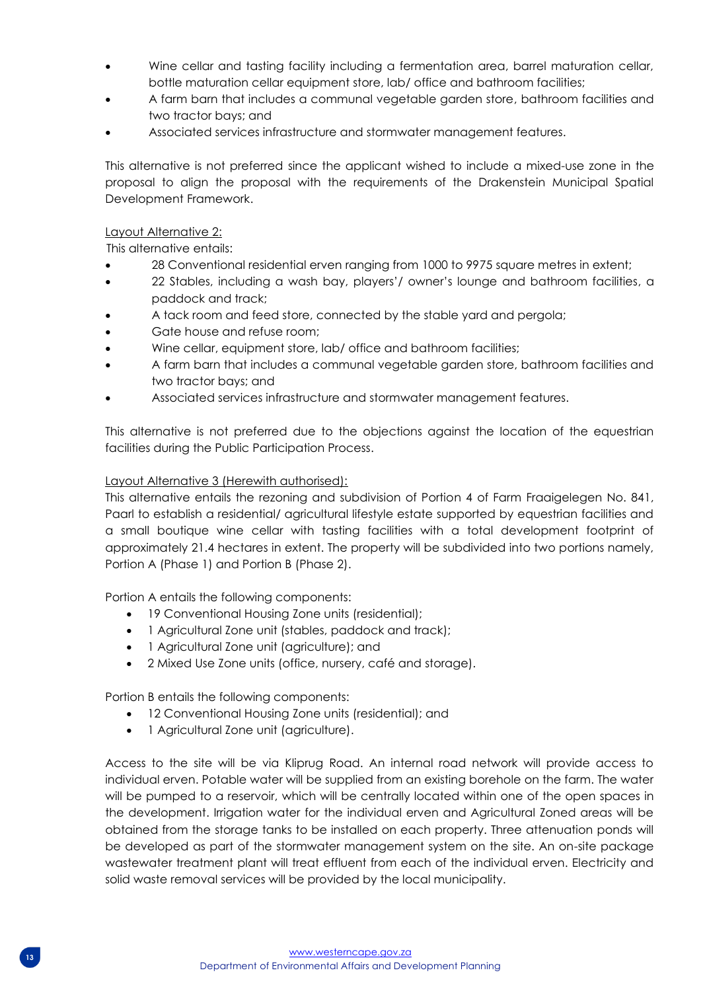- Wine cellar and tasting facility including a fermentation area, barrel maturation cellar, bottle maturation cellar equipment store, lab/ office and bathroom facilities;
- A farm barn that includes a communal vegetable garden store, bathroom facilities and two tractor bays; and
- Associated services infrastructure and stormwater management features.

This alternative is not preferred since the applicant wished to include a mixed-use zone in the proposal to align the proposal with the requirements of the Drakenstein Municipal Spatial Development Framework.

## Layout Alternative 2:

This alternative entails:

- 28 Conventional residential erven ranging from 1000 to 9975 square metres in extent;
- 22 Stables, including a wash bay, players'/ owner's lounge and bathroom facilities, a paddock and track;
- A tack room and feed store, connected by the stable yard and pergola;
- Gate house and refuse room;
- Wine cellar, equipment store, lab/ office and bathroom facilities;
- A farm barn that includes a communal vegetable garden store, bathroom facilities and two tractor bays; and
- Associated services infrastructure and stormwater management features.

This alternative is not preferred due to the objections against the location of the equestrian facilities during the Public Participation Process.

# Layout Alternative 3 (Herewith authorised):

This alternative entails the rezoning and subdivision of Portion 4 of Farm Fraaigelegen No. 841, Paarl to establish a residential/ agricultural lifestyle estate supported by equestrian facilities and a small boutique wine cellar with tasting facilities with a total development footprint of approximately 21.4 hectares in extent. The property will be subdivided into two portions namely, Portion A (Phase 1) and Portion B (Phase 2).

Portion A entails the following components:

- 19 Conventional Housing Zone units (residential);
- 1 Agricultural Zone unit (stables, paddock and track);
- 1 Agricultural Zone unit (agriculture); and
- 2 Mixed Use Zone units (office, nursery, café and storage).

Portion B entails the following components:

- 12 Conventional Housing Zone units (residential); and
- 1 Agricultural Zone unit (agriculture).

Access to the site will be via Kliprug Road. An internal road network will provide access to individual erven. Potable water will be supplied from an existing borehole on the farm. The water will be pumped to a reservoir, which will be centrally located within one of the open spaces in the development. Irrigation water for the individual erven and Agricultural Zoned areas will be obtained from the storage tanks to be installed on each property. Three attenuation ponds will be developed as part of the stormwater management system on the site. An on-site package wastewater treatment plant will treat effluent from each of the individual erven. Electricity and solid waste removal services will be provided by the local municipality.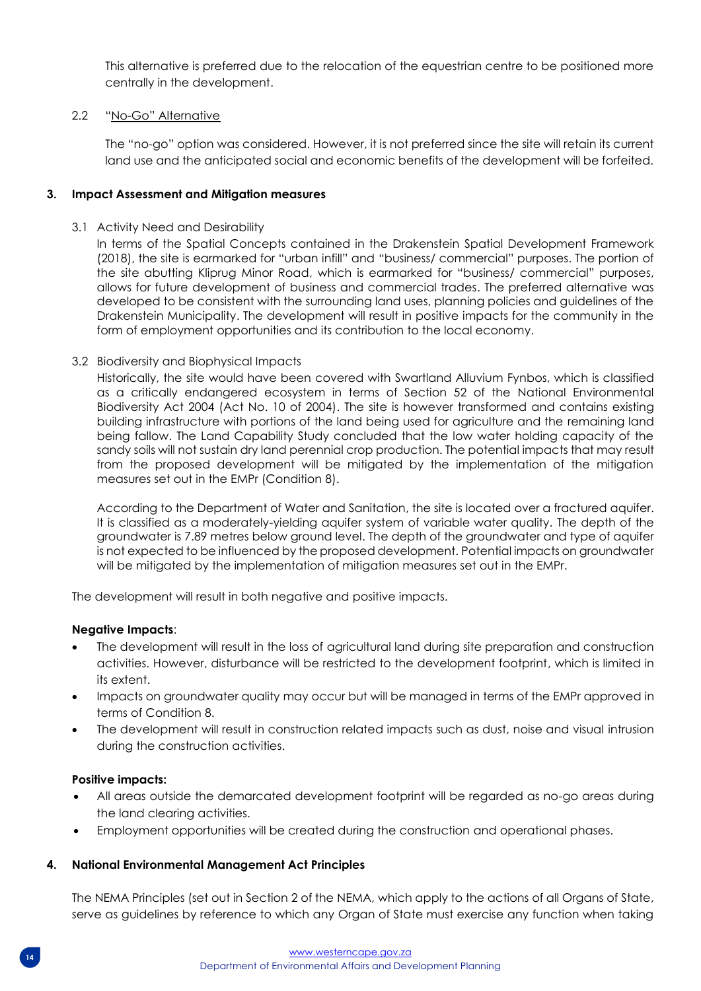This alternative is preferred due to the relocation of the equestrian centre to be positioned more centrally in the development.

# 2.2 "No-Go" Alternative

The "no-go" option was considered. However, it is not preferred since the site will retain its current land use and the anticipated social and economic benefits of the development will be forfeited.

# **3. Impact Assessment and Mitigation measures**

3.1 Activity Need and Desirability

In terms of the Spatial Concepts contained in the Drakenstein Spatial Development Framework (2018), the site is earmarked for "urban infill" and "business/ commercial" purposes. The portion of the site abutting Kliprug Minor Road, which is earmarked for "business/ commercial" purposes, allows for future development of business and commercial trades. The preferred alternative was developed to be consistent with the surrounding land uses, planning policies and guidelines of the Drakenstein Municipality. The development will result in positive impacts for the community in the form of employment opportunities and its contribution to the local economy.

# 3.2 Biodiversity and Biophysical Impacts

Historically, the site would have been covered with Swartland Alluvium Fynbos, which is classified as a critically endangered ecosystem in terms of Section 52 of the National Environmental Biodiversity Act 2004 (Act No. 10 of 2004). The site is however transformed and contains existing building infrastructure with portions of the land being used for agriculture and the remaining land being fallow. The Land Capability Study concluded that the low water holding capacity of the sandy soils will not sustain dry land perennial crop production. The potential impacts that may result from the proposed development will be mitigated by the implementation of the mitigation measures set out in the EMPr (Condition 8).

According to the Department of Water and Sanitation, the site is located over a fractured aquifer. It is classified as a moderately-yielding aquifer system of variable water quality. The depth of the groundwater is 7.89 metres below ground level. The depth of the groundwater and type of aquifer is not expected to be influenced by the proposed development. Potential impacts on groundwater will be mitigated by the implementation of mitigation measures set out in the EMPr.

The development will result in both negative and positive impacts.

#### **Negative Impacts**:

- The development will result in the loss of agricultural land during site preparation and construction activities. However, disturbance will be restricted to the development footprint, which is limited in its extent.
- Impacts on groundwater quality may occur but will be managed in terms of the EMPr approved in terms of Condition 8.
- The development will result in construction related impacts such as dust, noise and visual intrusion during the construction activities.

#### **Positive impacts:**

- All areas outside the demarcated development footprint will be regarded as no-go areas during the land clearing activities.
- Employment opportunities will be created during the construction and operational phases.

#### **4. National Environmental Management Act Principles**

The NEMA Principles (set out in Section 2 of the NEMA, which apply to the actions of all Organs of State, serve as guidelines by reference to which any Organ of State must exercise any function when taking